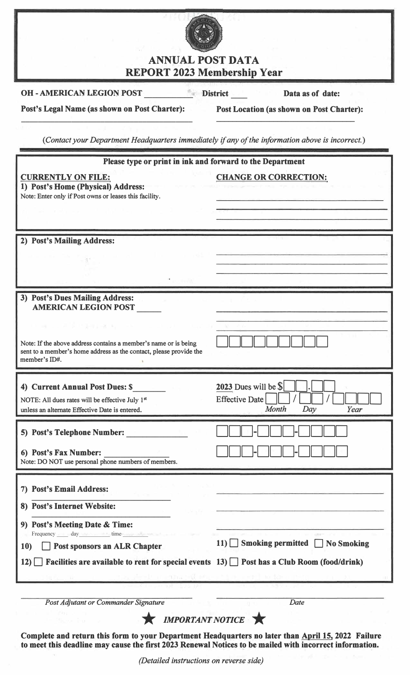

## ANNUAL POST DATA REPORT 2023 Membership Year

**OH - AMERICAN LEGION POST \_\_\_\_\_\_\_\_\_\_\_\_ District \_\_\_\_ Data as of date:** 

**Post's Legal Name (as shown on Post Charter): \_\_\_\_\_\_\_\_\_\_\_\_\_\_\_\_\_\_\_\_\_\_\_\_\_\_\_\_\_\_\_\_\_\_\_\_\_\_\_\_\_** **Post Location (as shown on Post Charter): \_\_\_\_\_\_\_\_\_\_\_\_\_\_\_\_\_\_\_\_\_\_\_\_\_\_\_\_\_\_\_\_\_\_**

(Contact your Department Headquarters immediately *if any of the information above is incorrect.*)

| Please type or print in ink and forward to the Department                                                                                              |                                               |
|--------------------------------------------------------------------------------------------------------------------------------------------------------|-----------------------------------------------|
| <b>CURRENTLY ON FILE:</b><br>1) Post's Home (Physical) Address:<br>Note: Enter only if Post owns or leases this facility.                              | <b>CHANGE OR CORRECTION:</b>                  |
|                                                                                                                                                        |                                               |
| 2) Post's Mailing Address:                                                                                                                             |                                               |
|                                                                                                                                                        |                                               |
|                                                                                                                                                        |                                               |
| 3) Post's Dues Mailing Address:<br><b>AMERICAN LEGION POST</b>                                                                                         |                                               |
| March 19, 19, 19, 19, 19, 19, 19                                                                                                                       |                                               |
| Note: If the above address contains a member's name or is being<br>sent to a member's home address as the contact, please provide the<br>member's ID#. |                                               |
| 4) Current Annual Post Dues: \$                                                                                                                        | 2023 Dues will be \$                          |
| NOTE: All dues rates will be effective July 1st<br>unless an alternate Effective Date is entered.                                                      | Effective Date<br><b>Month</b><br>Year<br>Day |
| 5) Post's Telephone Number:                                                                                                                            |                                               |
| 6) Post's Fax Number:<br>Note: DO NOT use personal phone numbers of members.                                                                           |                                               |
| 7) Post's Email Address:                                                                                                                               |                                               |
| 8) Post's Internet Website:                                                                                                                            |                                               |
|                                                                                                                                                        |                                               |
| 9) Post's Meeting Date & Time:<br>Frequency day day time                                                                                               |                                               |
| <b>Post sponsors an ALR Chapter</b><br><b>10</b>                                                                                                       | 11) Smoking permitted No Smoking              |
| Facilities are available to rent for special events $13$ $\Box$ Post has a Club Room (food/drink)<br>12)                                               |                                               |
|                                                                                                                                                        |                                               |
| Post Adjutant or Commander Signature                                                                                                                   | Date                                          |

**EX IMPORTANT NOTICE** 

**Complete and return this form to your Department Headquarters no later than April 15, 2022 Failure to meet this deadline may cause the first 2023 Renewal Notices to be mailed with incorrect information.**